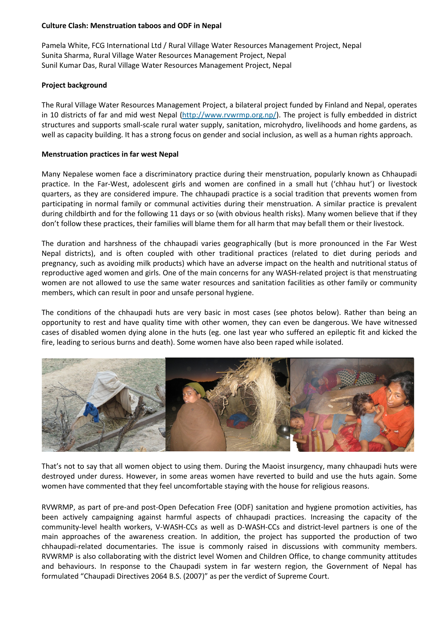# **Culture Clash: Menstruation taboos and ODF in Nepal**

Pamela White, FCG International Ltd / Rural Village Water Resources Management Project, Nepal Sunita Sharma, Rural Village Water Resources Management Project, Nepal Sunil Kumar Das, Rural Village Water Resources Management Project, Nepal

# **Project background**

The Rural Village Water Resources Management Project, a bilateral project funded by Finland and Nepal, operates in 10 districts of far and mid west Nepal [\(http://www.rvwrmp.org.np/\)](http://www.rvwrmp.org.np/). The project is fully embedded in district structures and supports small-scale rural water supply, sanitation, microhydro, livelihoods and home gardens, as well as capacity building. It has a strong focus on gender and social inclusion, as well as a human rights approach.

# **Menstruation practices in far west Nepal**

Many Nepalese women face a discriminatory practice during their menstruation, popularly known as Chhaupadi practice. In the Far-West, adolescent girls and women are confined in a small hut ('chhau hut') or livestock quarters, as they are considered impure. The chhaupadi practice is a social tradition that prevents women from participating in normal family or communal activities during their menstruation. A similar practice is prevalent during childbirth and for the following 11 days or so (with obvious health risks). Many women believe that if they don't follow these practices, their families will blame them for all harm that may befall them or their livestock.

The duration and harshness of the chhaupadi varies geographically (but is more pronounced in the Far West Nepal districts), and is often coupled with other traditional practices (related to diet during periods and pregnancy, such as avoiding milk products) which have an adverse impact on the health and nutritional status of reproductive aged women and girls. One of the main concerns for any WASH-related project is that menstruating women are not allowed to use the same water resources and sanitation facilities as other family or community members, which can result in poor and unsafe personal hygiene.

The conditions of the chhaupadi huts are very basic in most cases (see photos below). Rather than being an opportunity to rest and have quality time with other women, they can even be dangerous. We have witnessed cases of disabled women dying alone in the huts (eg. one last year who suffered an epileptic fit and kicked the fire, leading to serious burns and death). Some women have also been raped while isolated.



That's not to say that all women object to using them. During the Maoist insurgency, many chhaupadi huts were destroyed under duress. However, in some areas women have reverted to build and use the huts again. Some women have commented that they feel uncomfortable staying with the house for religious reasons.

RVWRMP, as part of pre-and post-Open Defecation Free (ODF) sanitation and hygiene promotion activities, has been actively campaigning against harmful aspects of chhaupadi practices. Increasing the capacity of the community-level health workers, V-WASH-CCs as well as D-WASH-CCs and district-level partners is one of the main approaches of the awareness creation. In addition, the project has supported the production of two chhaupadi-related documentaries. The issue is commonly raised in discussions with community members. RVWRMP is also collaborating with the district level Women and Children Office, to change community attitudes and behaviours. In response to the Chaupadi system in far western region, the Government of Nepal has formulated "Chaupadi Directives 2064 B.S. (2007)" as per the verdict of Supreme Court.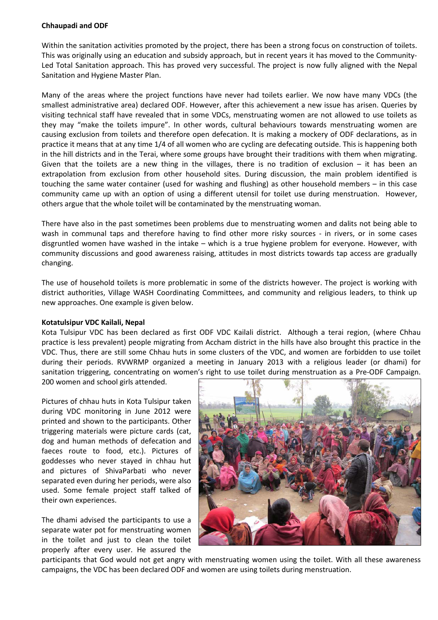### **Chhaupadi and ODF**

Within the sanitation activities promoted by the project, there has been a strong focus on construction of toilets. This was originally using an education and subsidy approach, but in recent years it has moved to the Community-Led Total Sanitation approach. This has proved very successful. The project is now fully aligned with the Nepal Sanitation and Hygiene Master Plan.

Many of the areas where the project functions have never had toilets earlier. We now have many VDCs (the smallest administrative area) declared ODF. However, after this achievement a new issue has arisen. Queries by visiting technical staff have revealed that in some VDCs, menstruating women are not allowed to use toilets as they may "make the toilets impure". In other words, cultural behaviours towards menstruating women are causing exclusion from toilets and therefore open defecation. It is making a mockery of ODF declarations, as in practice it means that at any time 1/4 of all women who are cycling are defecating outside. This is happening both in the hill districts and in the Terai, where some groups have brought their traditions with them when migrating. Given that the toilets are a new thing in the villages, there is no tradition of exclusion – it has been an extrapolation from exclusion from other household sites. During discussion, the main problem identified is touching the same water container (used for washing and flushing) as other household members – in this case community came up with an option of using a different utensil for toilet use during menstruation. However, others argue that the whole toilet will be contaminated by the menstruating woman.

There have also in the past sometimes been problems due to menstruating women and dalits not being able to wash in communal taps and therefore having to find other more risky sources - in rivers, or in some cases disgruntled women have washed in the intake – which is a true hygiene problem for everyone. However, with community discussions and good awareness raising, attitudes in most districts towards tap access are gradually changing.

The use of household toilets is more problematic in some of the districts however. The project is working with district authorities, Village WASH Coordinating Committees, and community and religious leaders, to think up new approaches. One example is given below.

### **Kotatulsipur VDC Kailali, Nepal**

Kota Tulsipur VDC has been declared as first ODF VDC Kailali district. Although a terai region, (where Chhau practice is less prevalent) people migrating from Accham district in the hills have also brought this practice in the VDC. Thus, there are still some Chhau huts in some clusters of the VDC, and women are forbidden to use toilet during their periods. RVWRMP organized a meeting in January 2013 with a religious leader (or dhami) for sanitation triggering, concentrating on women's right to use toilet during menstruation as a Pre-ODF Campaign.

200 women and school girls attended.

Pictures of chhau huts in Kota Tulsipur taken during VDC monitoring in June 2012 were printed and shown to the participants. Other triggering materials were picture cards (cat, dog and human methods of defecation and faeces route to food, etc.). Pictures of goddesses who never stayed in chhau hut and pictures of ShivaParbati who never separated even during her periods, were also used. Some female project staff talked of their own experiences.

The dhami advised the participants to use a separate water pot for menstruating women in the toilet and just to clean the toilet properly after every user. He assured the



participants that God would not get angry with menstruating women using the toilet. With all these awareness campaigns, the VDC has been declared ODF and women are using toilets during menstruation.